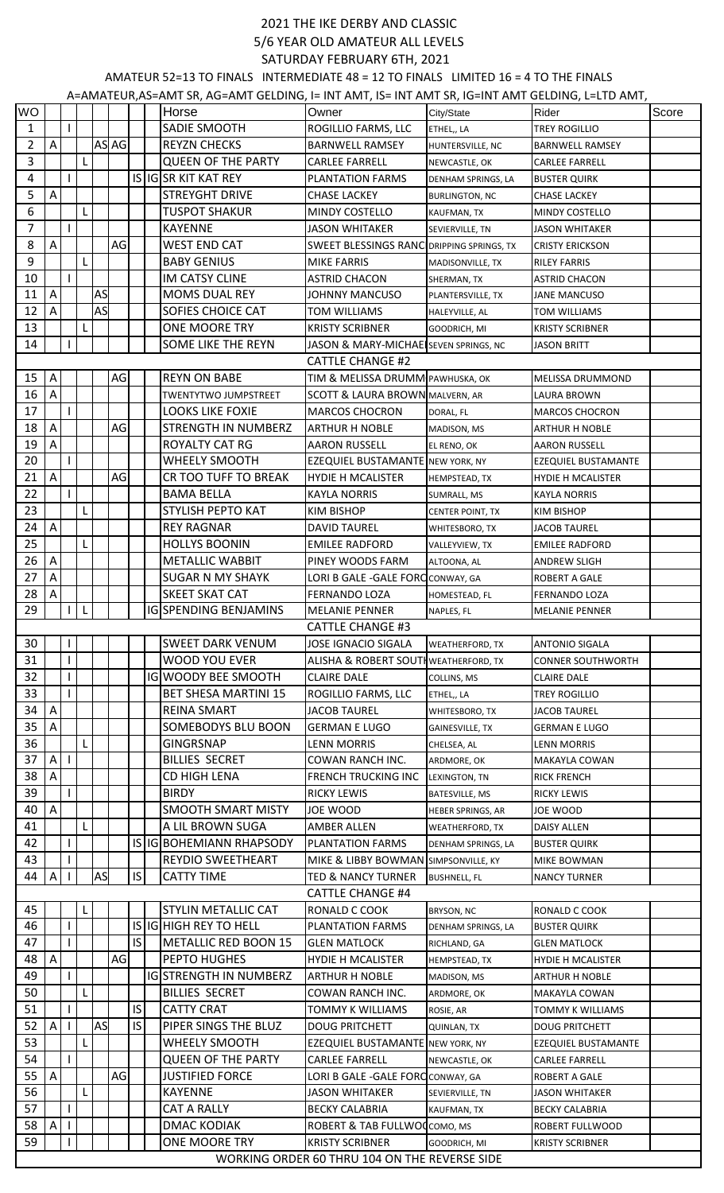## 2021 THE IKE DERBY AND CLASSIC 5/6 YEAR OLD AMATEUR ALL LEVELS SATURDAY FEBRUARY 6TH, 2021

AMATEUR 52=13 TO FINALS INTERMEDIATE 48 = 12 TO FINALS LIMITED 16 = 4 TO THE FINALS

|                | A=AMATEUR, AS=AMT SR, AG=AMT GELDING, I= INT AMT, IS= INT AMT SR, IG=INT AMT GELDING, L=LTD AMT, |  |   |    |       |           |  |                               |                                               |                         |                            |       |
|----------------|--------------------------------------------------------------------------------------------------|--|---|----|-------|-----------|--|-------------------------------|-----------------------------------------------|-------------------------|----------------------------|-------|
| <b>WO</b>      |                                                                                                  |  |   |    |       |           |  | Horse                         | Owner                                         | City/State              | Rider                      | Score |
| $\mathbf{1}$   |                                                                                                  |  |   |    |       |           |  | SADIE SMOOTH                  | ROGILLIO FARMS, LLC                           | ETHEL,, LA              | <b>TREY ROGILLIO</b>       |       |
| 2              | A                                                                                                |  |   |    | AS AG |           |  | <b>REYZN CHECKS</b>           | <b>BARNWELL RAMSEY</b>                        | HUNTERSVILLE, NC        | <b>BARNWELL RAMSEY</b>     |       |
| $\overline{3}$ |                                                                                                  |  | L |    |       |           |  | <b>QUEEN OF THE PARTY</b>     | <b>CARLEE FARRELL</b>                         | NEWCASTLE, OK           | <b>CARLEE FARRELL</b>      |       |
| 4              |                                                                                                  |  |   |    |       |           |  | IS IG SR KIT KAT REY          | <b>PLANTATION FARMS</b>                       | DENHAM SPRINGS, LA      | <b>BUSTER QUIRK</b>        |       |
| 5              | A                                                                                                |  |   |    |       |           |  | <b>STREYGHT DRIVE</b>         | <b>CHASE LACKEY</b>                           | <b>BURLINGTON, NC</b>   | <b>CHASE LACKEY</b>        |       |
| 6              |                                                                                                  |  | L |    |       |           |  | <b>TUSPOT SHAKUR</b>          | <b>MINDY COSTELLO</b>                         | KAUFMAN, TX             | <b>MINDY COSTELLO</b>      |       |
| $\overline{7}$ |                                                                                                  |  |   |    |       |           |  | <b>KAYENNE</b>                | <b>JASON WHITAKER</b>                         | SEVIERVILLE, TN         | <b>JASON WHITAKER</b>      |       |
| 8              | Α                                                                                                |  |   |    | AG    |           |  | <b>WEST END CAT</b>           | SWEET BLESSINGS RANC DRIPPING SPRINGS, TX     |                         | <b>CRISTY ERICKSON</b>     |       |
| 9              |                                                                                                  |  | L |    |       |           |  | <b>BABY GENIUS</b>            | <b>MIKE FARRIS</b>                            | MADISONVILLE, TX        | <b>RILEY FARRIS</b>        |       |
| 10             |                                                                                                  |  |   |    |       |           |  | <b>IM CATSY CLINE</b>         | ASTRID CHACON                                 | SHERMAN, TX             | <b>ASTRID CHACON</b>       |       |
| 11             | Α                                                                                                |  |   | AS |       |           |  | <b>MOMS DUAL REY</b>          | <b>JOHNNY MANCUSO</b>                         | PLANTERSVILLE, TX       | <b>JANE MANCUSO</b>        |       |
| 12             | A                                                                                                |  |   | AS |       |           |  | SOFIES CHOICE CAT             | TOM WILLIAMS                                  | HALEYVILLE, AL          | <b>TOM WILLIAMS</b>        |       |
| 13             |                                                                                                  |  | L |    |       |           |  | ONE MOORE TRY                 | <b>KRISTY SCRIBNER</b>                        | GOODRICH, MI            | <b>KRISTY SCRIBNER</b>     |       |
| 14             |                                                                                                  |  |   |    |       |           |  | SOME LIKE THE REYN            | JASON & MARY-MICHAE SEVEN SPRINGS, NC         |                         | <b>JASON BRITT</b>         |       |
|                |                                                                                                  |  |   |    |       |           |  |                               | <b>CATTLE CHANGE #2</b>                       |                         |                            |       |
| 15             | A                                                                                                |  |   |    | AG    |           |  | <b>REYN ON BABE</b>           | TIM & MELISSA DRUMM PAWHUSKA, OK              |                         | MELISSA DRUMMOND           |       |
| 16             | A                                                                                                |  |   |    |       |           |  | <b>TWENTYTWO JUMPSTREET</b>   | <b>SCOTT &amp; LAURA BROWN MALVERN, AR</b>    |                         | <b>LAURA BROWN</b>         |       |
| 17             |                                                                                                  |  |   |    |       |           |  | <b>LOOKS LIKE FOXIE</b>       | <b>MARCOS CHOCRON</b>                         |                         |                            |       |
| 18             | $\mathsf{A}$                                                                                     |  |   |    | AG    |           |  | STRENGTH IN NUMBERZ           |                                               | DORAL, FL               | <b>MARCOS CHOCRON</b>      |       |
|                |                                                                                                  |  |   |    |       |           |  |                               | <b>ARTHUR H NOBLE</b>                         | MADISON, MS             | <b>ARTHUR H NOBLE</b>      |       |
| 19             | A                                                                                                |  |   |    |       |           |  | ROYALTY CAT RG                | <b>AARON RUSSELL</b>                          | EL RENO, OK             | <b>AARON RUSSELL</b>       |       |
| 20             |                                                                                                  |  |   |    |       |           |  | <b>WHEELY SMOOTH</b>          | <b>EZEQUIEL BUSTAMANTE NEW YORK, NY</b>       |                         | <b>EZEQUIEL BUSTAMANTE</b> |       |
| 21             | $\mathsf A$                                                                                      |  |   |    | AG    |           |  | CR TOO TUFF TO BREAK          | <b>HYDIE H MCALISTER</b>                      | HEMPSTEAD, TX           | <b>HYDIE H MCALISTER</b>   |       |
| 22             |                                                                                                  |  |   |    |       |           |  | <b>BAMA BELLA</b>             | <b>KAYLA NORRIS</b>                           | SUMRALL, MS             | <b>KAYLA NORRIS</b>        |       |
| 23             |                                                                                                  |  | L |    |       |           |  | STYLISH PEPTO KAT             | <b>KIM BISHOP</b>                             | <b>CENTER POINT, TX</b> | <b>KIM BISHOP</b>          |       |
| 24             | A                                                                                                |  |   |    |       |           |  | <b>REY RAGNAR</b>             | <b>DAVID TAUREL</b>                           | WHITESBORO, TX          | <b>JACOB TAUREL</b>        |       |
| 25             |                                                                                                  |  | L |    |       |           |  | <b>HOLLYS BOONIN</b>          | <b>EMILEE RADFORD</b>                         | VALLEYVIEW, TX          | <b>EMILEE RADFORD</b>      |       |
| 26             | A                                                                                                |  |   |    |       |           |  | <b>METALLIC WABBIT</b>        | PINEY WOODS FARM                              | ALTOONA, AL             | <b>ANDREW SLIGH</b>        |       |
| 27             | $\mathsf{A}$                                                                                     |  |   |    |       |           |  | <b>SUGAR N MY SHAYK</b>       | LORI B GALE - GALE FORC CONWAY, GA            |                         | ROBERT A GALE              |       |
| 28             | Α                                                                                                |  |   |    |       |           |  | <b>SKEET SKAT CAT</b>         | <b>FERNANDO LOZA</b>                          | HOMESTEAD, FL           | <b>FERNANDO LOZA</b>       |       |
| 29             |                                                                                                  |  | L |    |       |           |  | <b>IGISPENDING BENJAMINS</b>  | <b>MELANIE PENNER</b>                         | NAPLES, FL              | <b>MELANIE PENNER</b>      |       |
|                |                                                                                                  |  |   |    |       |           |  |                               | <b>CATTLE CHANGE #3</b>                       |                         |                            |       |
| 30             |                                                                                                  |  |   |    |       |           |  | <b>SWEET DARK VENUM</b>       | JOSE IGNACIO SIGALA                           | <b>WEATHERFORD, TX</b>  | <b>ANTONIO SIGALA</b>      |       |
| 31             |                                                                                                  |  |   |    |       |           |  | <b>WOOD YOU EVER</b>          | ALISHA & ROBERT SOUTH WEATHERFORD, TX         |                         | <b>CONNER SOUTHWORTH</b>   |       |
| 32             |                                                                                                  |  |   |    |       |           |  | <b>IG WOODY BEE SMOOTH</b>    | <b>CLAIRE DALE</b>                            | COLLINS, MS             | <b>CLAIRE DALE</b>         |       |
| 33             |                                                                                                  |  |   |    |       |           |  | <b>BET SHESA MARTINI 15</b>   | ROGILLIO FARMS, LLC                           | ETHEL,, LA              | <b>TREY ROGILLIO</b>       |       |
| 34             | $\boldsymbol{\mathsf{A}}$                                                                        |  |   |    |       |           |  | <b>REINA SMART</b>            | <b>JACOB TAUREL</b>                           | WHITESBORO, TX          | <b>JACOB TAUREL</b>        |       |
| 35             | Α                                                                                                |  |   |    |       |           |  | SOMEBODYS BLU BOON            | <b>GERMAN E LUGO</b>                          | <b>GAINESVILLE, TX</b>  | <b>GERMAN E LUGO</b>       |       |
| 36             |                                                                                                  |  | L |    |       |           |  | <b>GINGRSNAP</b>              | <b>LENN MORRIS</b>                            | CHELSEA, AL             | <b>LENN MORRIS</b>         |       |
| 37             | A                                                                                                |  |   |    |       |           |  | <b>BILLIES SECRET</b>         | <b>COWAN RANCH INC.</b>                       | ARDMORE, OK             | <b>MAKAYLA COWAN</b>       |       |
| 38             | A                                                                                                |  |   |    |       |           |  | CD HIGH LENA                  | <b>FRENCH TRUCKING INC</b>                    | LEXINGTON, TN           | <b>RICK FRENCH</b>         |       |
| 39             |                                                                                                  |  |   |    |       |           |  | <b>BIRDY</b>                  | <b>RICKY LEWIS</b>                            | BATESVILLE, MS          | <b>RICKY LEWIS</b>         |       |
| 40             | $\boldsymbol{\mathsf{A}}$                                                                        |  |   |    |       |           |  | <b>SMOOTH SMART MISTY</b>     | JOE WOOD                                      | HEBER SPRINGS, AR       | JOE WOOD                   |       |
| 41             |                                                                                                  |  | L |    |       |           |  | A LIL BROWN SUGA              | AMBER ALLEN                                   | <b>WEATHERFORD, TX</b>  | DAISY ALLEN                |       |
| 42             |                                                                                                  |  |   |    |       |           |  | IS IG BOHEMIANN RHAPSODY      | <b>PLANTATION FARMS</b>                       | DENHAM SPRINGS, LA      | <b>BUSTER QUIRK</b>        |       |
| 43             |                                                                                                  |  |   |    |       |           |  | <b>REYDIO SWEETHEART</b>      | <b>MIKE &amp; LIBBY BOWMAN</b>                | SIMPSONVILLE, KY        | <b>MIKE BOWMAN</b>         |       |
| 44             | A                                                                                                |  |   | AS |       | IS.       |  | <b>CATTY TIME</b>             | <b>TED &amp; NANCY TURNER</b>                 | <b>BUSHNELL, FL</b>     | <b>NANCY TURNER</b>        |       |
|                |                                                                                                  |  |   |    |       |           |  |                               | <b>CATTLE CHANGE #4</b>                       |                         |                            |       |
| 45             |                                                                                                  |  | L |    |       |           |  | <b>STYLIN METALLIC CAT</b>    | RONALD C COOK                                 | BRYSON, NC              | RONALD C COOK              |       |
| 46             |                                                                                                  |  |   |    |       |           |  | <b>IS IGHIGH REY TO HELL</b>  | <b>PLANTATION FARMS</b>                       | DENHAM SPRINGS, LA      | <b>BUSTER QUIRK</b>        |       |
| 47             |                                                                                                  |  |   |    |       | IS.       |  | METALLIC RED BOON 15          | <b>GLEN MATLOCK</b>                           | RICHLAND, GA            | <b>GLEN MATLOCK</b>        |       |
| 48             | A                                                                                                |  |   |    | AG    |           |  | <b>PEPTO HUGHES</b>           | <b>HYDIE H MCALISTER</b>                      | HEMPSTEAD, TX           | <b>HYDIE H MCALISTER</b>   |       |
| 49             |                                                                                                  |  |   |    |       |           |  | <b>IGISTRENGTH IN NUMBERZ</b> | <b>ARTHUR H NOBLE</b>                         |                         |                            |       |
| 50             |                                                                                                  |  | L |    |       |           |  | <b>BILLIES SECRET</b>         | COWAN RANCH INC.                              | MADISON, MS             | <b>ARTHUR H NOBLE</b>      |       |
|                |                                                                                                  |  |   |    |       | IS.       |  |                               |                                               | ARDMORE, OK             | <b>MAKAYLA COWAN</b>       |       |
| 51             |                                                                                                  |  |   |    |       | <b>IS</b> |  | <b>CATTY CRAT</b>             | TOMMY K WILLIAMS                              | ROSIE, AR               | <b>TOMMY K WILLIAMS</b>    |       |
| 52             | A                                                                                                |  |   | AS |       |           |  | PIPER SINGS THE BLUZ          | <b>DOUG PRITCHETT</b>                         | <b>QUINLAN, TX</b>      | <b>DOUG PRITCHETT</b>      |       |
| 53             |                                                                                                  |  | L |    |       |           |  | <b>WHEELY SMOOTH</b>          | EZEQUIEL BUSTAMANTE NEW YORK, NY              |                         | <b>EZEQUIEL BUSTAMANTE</b> |       |
| 54             |                                                                                                  |  |   |    |       |           |  | <b>QUEEN OF THE PARTY</b>     | <b>CARLEE FARRELL</b>                         | NEWCASTLE, OK           | <b>CARLEE FARRELL</b>      |       |
| 55             | A                                                                                                |  |   |    | AG    |           |  | <b>JUSTIFIED FORCE</b>        | LORI B GALE - GALE FORC CONWAY, GA            |                         | <b>ROBERT A GALE</b>       |       |
| 56             |                                                                                                  |  | L |    |       |           |  | <b>KAYENNE</b>                | <b>JASON WHITAKER</b>                         | SEVIERVILLE, TN         | <b>JASON WHITAKER</b>      |       |
| 57             |                                                                                                  |  |   |    |       |           |  | CAT A RALLY                   | <b>BECKY CALABRIA</b>                         | KAUFMAN, TX             | <b>BECKY CALABRIA</b>      |       |
| 58             | A                                                                                                |  |   |    |       |           |  | <b>DMAC KODIAK</b>            | ROBERT & TAB FULLWOOCOMO, MS                  |                         | <b>ROBERT FULLWOOD</b>     |       |
| 59             |                                                                                                  |  |   |    |       |           |  | <b>ONE MOORE TRY</b>          | <b>KRISTY SCRIBNER</b>                        | GOODRICH, MI            | <b>KRISTY SCRIBNER</b>     |       |
|                |                                                                                                  |  |   |    |       |           |  |                               | WORKING ORDER 60 THRU 104 ON THE REVERSE SIDE |                         |                            |       |

WORKING ORDER 60 THRU 104 ON THE REVERSE SIDE